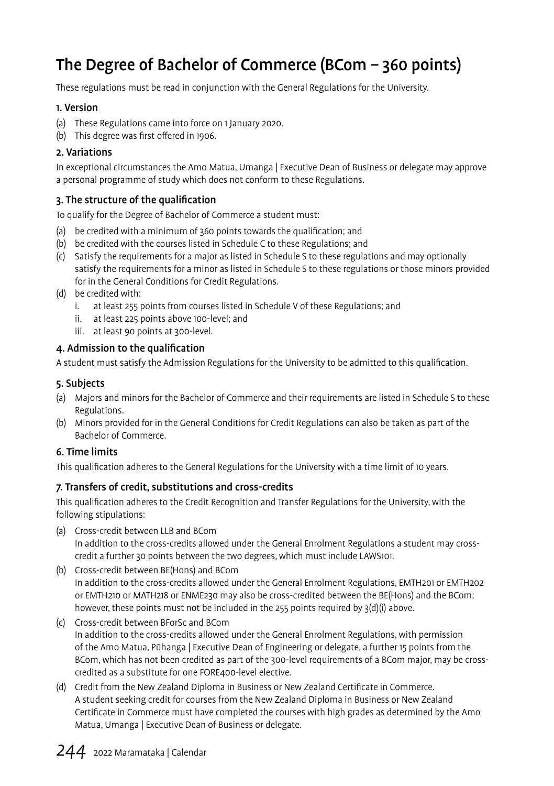# The Degree of Bachelor of Commerce (BCom – 360 points)

These regulations must be read in conjunction with the General Regulations for the University.

#### 1. Version

- (a) These Regulations came into force on 1 January 2020.
- (b) This degree was first offered in 1906.

#### 2. Variations

In exceptional circumstances the Amo Matua, Umanga | Executive Dean of Business or delegate may approve a personal programme of study which does not conform to these Regulations.

#### 3. The structure of the qualification

To qualify for the Degree of Bachelor of Commerce a student must:

- (a) be credited with a minimum of 360 points towards the qualification; and
- (b) be credited with the courses listed in Schedule C to these Regulations; and
- (c) Satisfy the requirements for a major as listed in Schedule S to these regulations and may optionally satisfy the requirements for a minor as listed in Schedule S to these regulations or those minors provided for in the General Conditions for Credit Regulations.
- (d) be credited with:
	- i. at least 255 points from courses listed in Schedule V of these Regulations; and
	- ii. at least 225 points above 100-level; and
	- iii. at least 90 points at 300-level.

#### 4. Admission to the qualification

A student must satisfy the Admission Regulations for the University to be admitted to this qualification.

#### 5. Subjects

- (a) Majors and minors for the Bachelor of Commerce and their requirements are listed in Schedule S to these Regulations.
- (b) Minors provided for in the General Conditions for Credit Regulations can also be taken as part of the Bachelor of Commerce.

#### 6. Time limits

This qualification adheres to the General Regulations for the University with a time limit of 10 years.

#### 7. Transfers of credit, substitutions and cross-credits

This qualification adheres to the Credit Recognition and Transfer Regulations for the University, with the following stipulations:

- (a) Cross-credit between LLB and BCom In addition to the cross-credits allowed under the General Enrolment Regulations a student may crosscredit a further 30 points between the two degrees, which must include LAWS101.
- (b) Cross-credit between BE(Hons) and BCom In addition to the cross-credits allowed under the General Enrolment Regulations, EMTH201 or EMTH202 or EMTH210 or MATH218 or ENME230 may also be cross-credited between the BE(Hons) and the BCom; however, these points must not be included in the 255 points required by 3(d)(i) above.
- (c) Cross-credit between BForSc and BCom In addition to the cross-credits allowed under the General Enrolment Regulations, with permission of the Amo Matua, Pūhanga | Executive Dean of Engineering or delegate, a further 15 points from the BCom, which has not been credited as part of the 300-level requirements of a BCom major, may be crosscredited as a substitute for one FORE400-level elective.
- (d) Credit from the New Zealand Diploma in Business or New Zealand Certificate in Commerce. A student seeking credit for courses from the New Zealand Diploma in Business or New Zealand Certificate in Commerce must have completed the courses with high grades as determined by the Amo Matua, Umanga | Executive Dean of Business or delegate.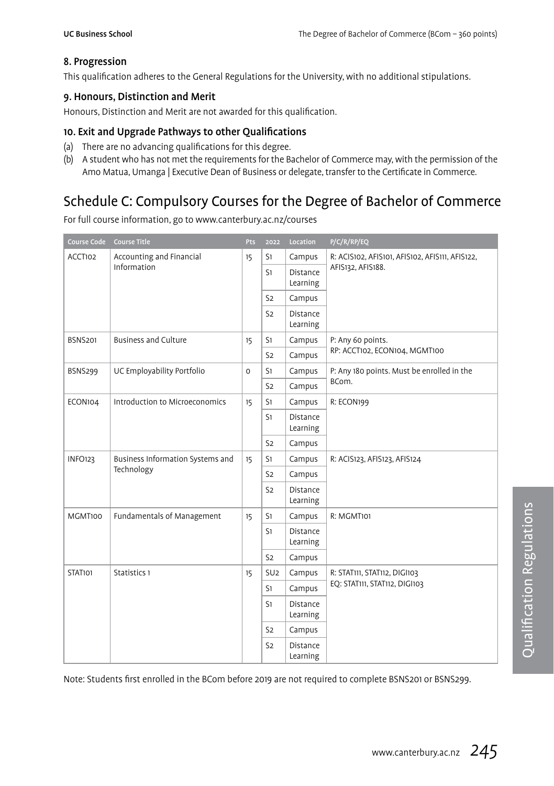### 8. Progression

This qualification adheres to the General Regulations for the University, with no additional stipulations.

#### 9. Honours, Distinction and Merit

Honours, Distinction and Merit are not awarded for this qualification.

#### 10. Exit and Upgrade Pathways to other Qualifications

- (a) There are no advancing qualifications for this degree.
- (b) A student who has not met the requirements for the Bachelor of Commerce may, with the permission of the Amo Matua, Umanga | Executive Dean of Business or delegate, transfer to the Certificate in Commerce.

# Schedule C: Compulsory Courses for the Degree of Bachelor of Commerce

For full course information, go to www.canterbury.ac.nz/courses

| Course Code    | <b>Course Title</b>              | <b>Pts</b>  | 2022            | Location             | P/C/R/RP/EQ                                     |
|----------------|----------------------------------|-------------|-----------------|----------------------|-------------------------------------------------|
| ACCT102        | Accounting and Financial         | 15          | S1              | Campus               | R: ACIS102, AFIS101, AFIS102, AFIS111, AFIS122, |
|                | Information                      |             | S1              | Distance<br>Learning | AFIS132, AFIS188.                               |
|                |                                  |             | S <sub>2</sub>  | Campus               |                                                 |
|                |                                  |             | S <sub>2</sub>  | Distance<br>Learning |                                                 |
| <b>BSNS201</b> | <b>Business and Culture</b>      | 15          | S1              | Campus               | P: Any 60 points.                               |
|                |                                  |             | S <sub>2</sub>  | Campus               | RP: ACCT102, ECON104, MGMT100                   |
| <b>BSNS299</b> | UC Employability Portfolio       | $\mathbf 0$ | S1              | Campus               | P: Any 180 points. Must be enrolled in the      |
|                |                                  |             | S <sub>2</sub>  | Campus               | BCom.                                           |
| ECON104        | Introduction to Microeconomics   | 15          | S1              | Campus               | R: ECON199                                      |
|                |                                  |             | S1              | Distance<br>Learning |                                                 |
|                |                                  |             | S <sub>2</sub>  | Campus               |                                                 |
| <b>INFO123</b> | Business Information Systems and | 15          | S1              | Campus               | R: ACIS123, AFIS123, AFIS124                    |
|                | Technology                       |             | S <sub>2</sub>  | Campus               |                                                 |
|                |                                  |             | S <sub>2</sub>  | Distance<br>Learning |                                                 |
| MGMT100        | Fundamentals of Management       | 15          | S1              | Campus               | R: MGMT101                                      |
|                |                                  |             | S1              | Distance<br>Learning |                                                 |
|                |                                  |             | S <sub>2</sub>  | Campus               |                                                 |
| <b>STAT101</b> | Statistics 1                     | 15          | SU <sub>2</sub> | Campus               | R: STAT111, STAT112, DIGI103                    |
|                |                                  |             | S1              | Campus               | EQ: STAT111, STAT112, DIGI103                   |
|                |                                  |             | S1              | Distance<br>Learning |                                                 |
|                |                                  |             | S <sub>2</sub>  | Campus               |                                                 |
|                |                                  |             | S <sub>2</sub>  | Distance<br>Learning |                                                 |

Note: Students first enrolled in the BCom before 2019 are not required to complete BSNS201 or BSNS299.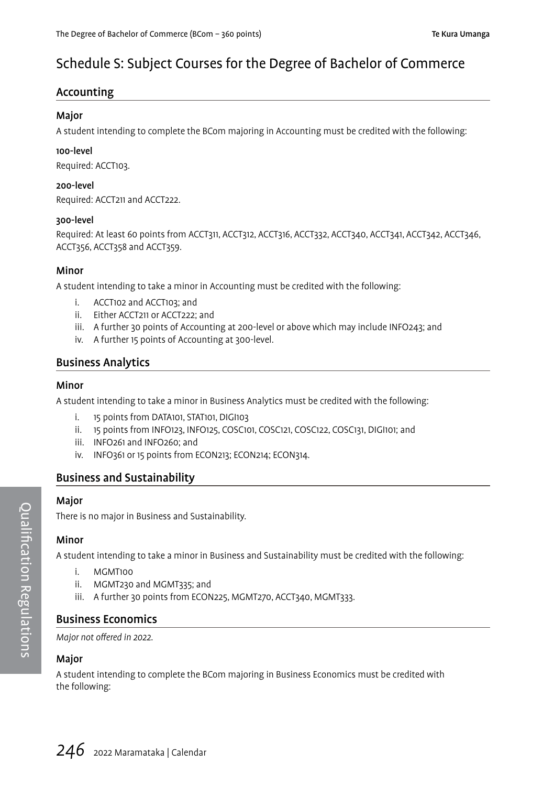# Schedule S: Subject Courses for the Degree of Bachelor of Commerce

### Accounting

#### Major

A student intending to complete the BCom majoring in Accounting must be credited with the following:

#### 100-level

Required: ACCT103.

#### 200-level

Required: ACCT211 and ACCT222.

#### 300-level

Required: At least 60 points from ACCT311, ACCT312, ACCT316, ACCT332, ACCT340, ACCT341, ACCT342, ACCT346, ACCT356, ACCT358 and ACCT359.

#### Minor

A student intending to take a minor in Accounting must be credited with the following:

- i. ACCT102 and ACCT103; and
- ii. Either ACCT211 or ACCT222; and
- iii. A further 30 points of Accounting at 200-level or above which may include INFO243; and
- iv. A further 15 points of Accounting at 300-level.

### Business Analytics

#### Minor

A student intending to take a minor in Business Analytics must be credited with the following:

- i. 15 points from DATA101, STAT101, DIGI103
- ii. 15 points from INFO123, INFO125, COSC101, COSC121, COSC122, COSC131, DIGI101; and
- iii. INFO261 and INFO260; and
- iv. INFO361 or 15 points from ECON213; ECON214; ECON314.

#### Business and Sustainability

#### Major

There is no major in Business and Sustainability.

#### Minor

A student intending to take a minor in Business and Sustainability must be credited with the following:

- i MGMT100
- ii. MGMT230 and MGMT335; and
- iii. A further 30 points from ECON225, MGMT270, ACCT340, MGMT333.

#### Business Economics

Major not offered in 2022.

#### Major

A student intending to complete the BCom majoring in Business Economics must be credited with the following: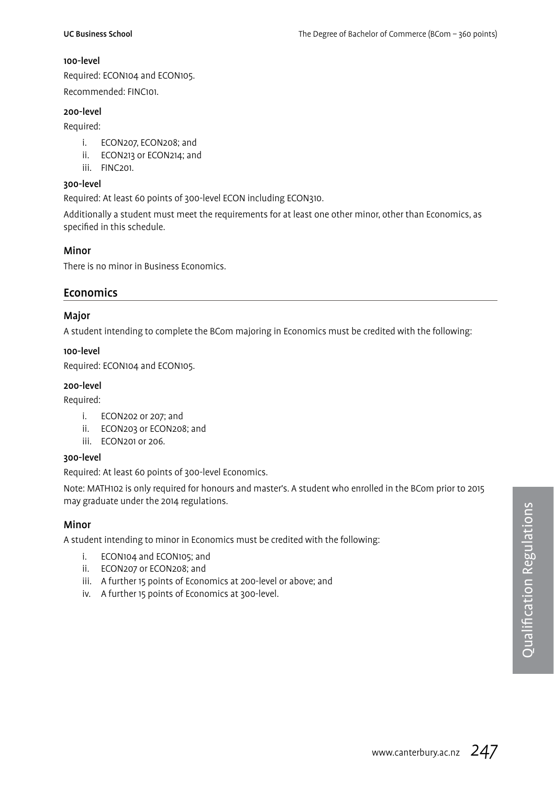#### 100-level

Required: ECON104 and ECON105. Recommended: FINC101.

#### 200-level

Required:

- i. ECON207, ECON208; and
- ii. ECON213 or ECON214; and
- iii. FINC201.

#### 300-level

Required: At least 60 points of 300-level ECON including ECON310.

Additionally a student must meet the requirements for at least one other minor, other than Economics, as specified in this schedule.

#### Minor

There is no minor in Business Economics.

#### Economics

#### Major

A student intending to complete the BCom majoring in Economics must be credited with the following:

#### 100-level

Required: ECON104 and ECON105.

#### 200-level

Required:

- i. ECON202 or 207; and
- ii. ECON203 or ECON208; and
- iii. ECON201 or 206.

#### 300-level

Required: At least 60 points of 300-level Economics.

Note: MATH102 is only required for honours and master's. A student who enrolled in the BCom prior to 2015 may graduate under the 2014 regulations.

#### Minor

A student intending to minor in Economics must be credited with the following:

- i. ECON104 and ECON105; and
- ii. ECON207 or ECON208; and
- iii. A further 15 points of Economics at 200-level or above; and
- iv. A further 15 points of Economics at 300-level.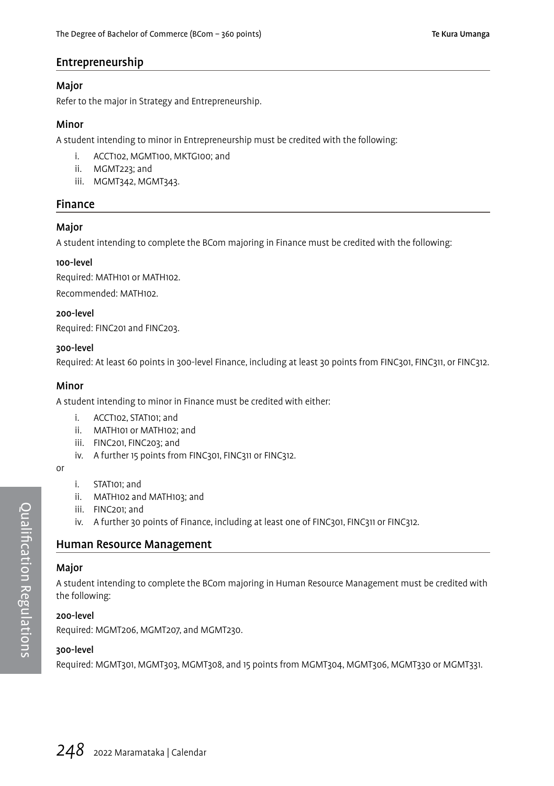### Entrepreneurship

#### Major

Refer to the major in Strategy and Entrepreneurship.

#### Minor

A student intending to minor in Entrepreneurship must be credited with the following:

- i. ACCT102, MGMT100, MKTG100; and
- ii. MGMT223; and
- iii. MGMT342, MGMT343.

### Finance

#### Major

A student intending to complete the BCom majoring in Finance must be credited with the following:

#### 100-level

Required: MATH101 or MATH102.

Recommended: MATH102.

#### 200-level

Required: FINC201 and FINC203.

#### 300-level

Required: At least 60 points in 300-level Finance, including at least 30 points from FINC301, FINC311, or FINC312.

#### Minor

A student intending to minor in Finance must be credited with either:

- i. ACCT102, STAT101; and
- ii. MATH101 or MATH102; and
- iii. FINC201, FINC203; and
- iv. A further 15 points from FINC301, FINC311 or FINC312.
- or
- i. STAT101; and
- ii. MATH102 and MATH103; and
- iii. FINC201; and
- iv. A further 30 points of Finance, including at least one of FINC301, FINC311 or FINC312.

#### Human Resource Management

#### Major

A student intending to complete the BCom majoring in Human Resource Management must be credited with the following:

#### 200-level

Required: MGMT206, MGMT207, and MGMT230.

#### 300-level

Required: MGMT301, MGMT303, MGMT308, and 15 points from MGMT304, MGMT306, MGMT330 or MGMT331.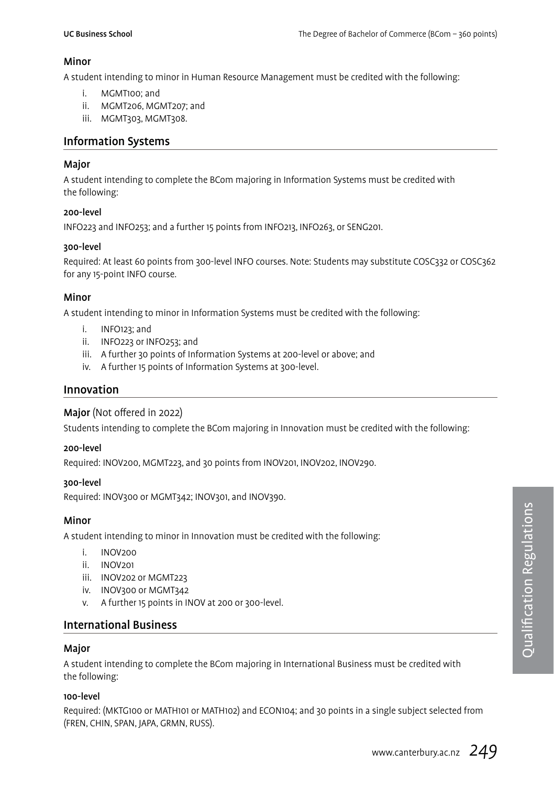#### Minor

A student intending to minor in Human Resource Management must be credited with the following:

- i. MGMT100; and
- ii. MGMT206, MGMT207; and
- iii. MGMT303, MGMT308.

#### Information Systems

#### Major

A student intending to complete the BCom majoring in Information Systems must be credited with the following:

#### 200-level

INFO223 and INFO253; and a further 15 points from INFO213, INFO263, or SENG201.

#### 300-level

Required: At least 60 points from 300-level INFO courses. Note: Students may substitute COSC332 or COSC362 for any 15-point INFO course.

#### **Minor**

A student intending to minor in Information Systems must be credited with the following:

- i. INFO123; and
- ii. INFO223 or INFO253; and
- iii. A further 30 points of Information Systems at 200-level or above; and
- iv. A further 15 points of Information Systems at 300-level.

#### Innovation

#### Major (Not offered in 2022)

Students intending to complete the BCom majoring in Innovation must be credited with the following:

#### 200-level

Required: INOV200, MGMT223, and 30 points from INOV201, INOV202, INOV290.

#### 300-level

Required: INOV300 or MGMT342; INOV301, and INOV390.

#### Minor

A student intending to minor in Innovation must be credited with the following:

- i. INOV200
- ii. INOV201
- iii. INOV202 or MGMT223
- iv. INOV300 or MGMT342
- v. A further 15 points in INOV at 200 or 300-level.

#### International Business

#### Major

A student intending to complete the BCom majoring in International Business must be credited with the following:

#### 100-level

Required: (MKTG100 or MATH101 or MATH102) and ECON104; and 30 points in a single subject selected from (FREN, CHIN, SPAN, JAPA, GRMN, RUSS).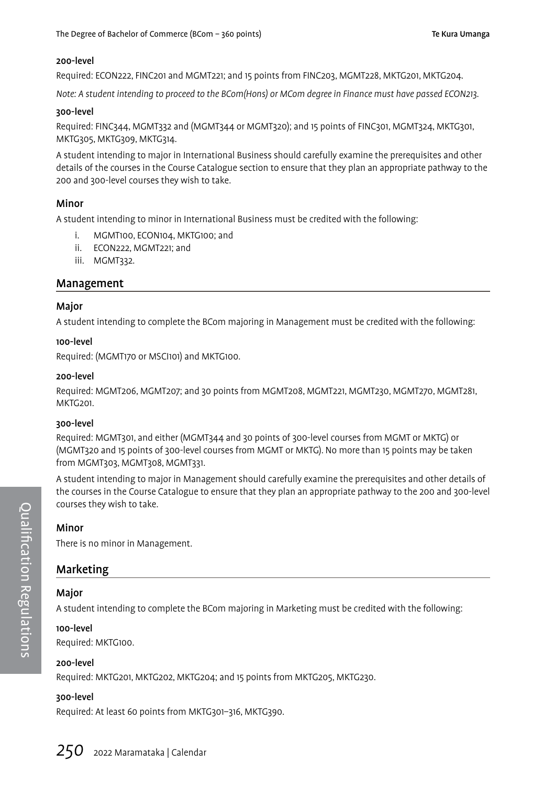#### 200-level

Required: ECON222, FINC201 and MGMT221; and 15 points from FINC203, MGMT228, MKTG201, MKTG204.

Note: A student intending to proceed to the BCom(Hons) or MCom degree in Finance must have passed ECON213.

#### 300-level

Required: FINC344, MGMT332 and (MGMT344 or MGMT320); and 15 points of FINC301, MGMT324, MKTG301, MKTG305, MKTG309, MKTG314.

A student intending to major in International Business should carefully examine the prerequisites and other details of the courses in the Course Catalogue section to ensure that they plan an appropriate pathway to the 200 and 300-level courses they wish to take.

#### Minor

A student intending to minor in International Business must be credited with the following:

- i. MGMT100, ECON104, MKTG100; and
- ii. ECON222, MGMT221; and
- iii. MGMT332.

#### Management

#### Major

A student intending to complete the BCom majoring in Management must be credited with the following:

#### 100-level

Required: (MGMT170 or MSCI101) and MKTG100.

#### 200-level

Required: MGMT206, MGMT207; and 30 points from MGMT208, MGMT221, MGMT230, MGMT270, MGMT281, MKTG201.

#### 300-level

Required: MGMT301, and either (MGMT344 and 30 points of 300-level courses from MGMT or MKTG) or (MGMT320 and 15 points of 300-level courses from MGMT or MKTG). No more than 15 points may be taken from MGMT303, MGMT308, MGMT331.

A student intending to major in Management should carefully examine the prerequisites and other details of the courses in the Course Catalogue to ensure that they plan an appropriate pathway to the 200 and 300-level courses they wish to take.

#### Minor

There is no minor in Management.

### Marketing

#### Major

A student intending to complete the BCom majoring in Marketing must be credited with the following:

#### 100-level

Required: MKTG100.

#### 200-level

Required: MKTG201, MKTG202, MKTG204; and 15 points from MKTG205, MKTG230.

#### 300-level

Required: At least 60 points from MKTG301–316, MKTG390.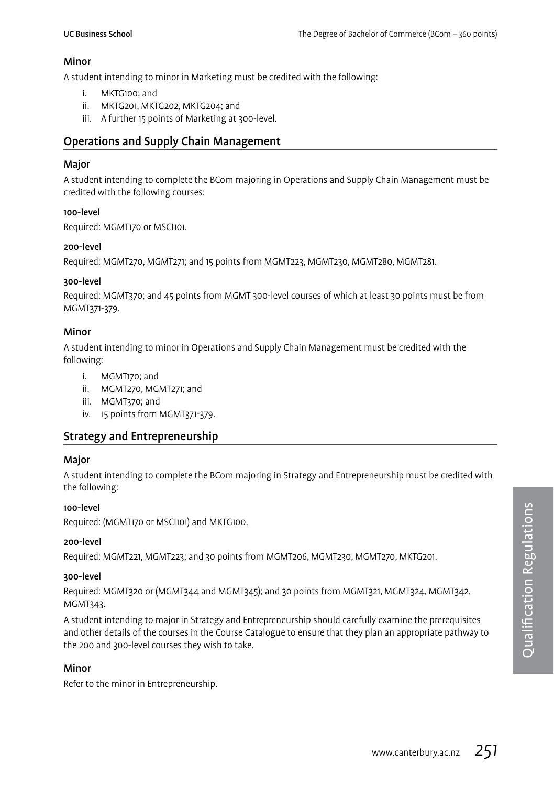#### Minor

A student intending to minor in Marketing must be credited with the following:

- i. MKTG100; and
- ii. MKTG201, MKTG202, MKTG204; and
- iii. A further 15 points of Marketing at 300-level.

### Operations and Supply Chain Management

#### Major

A student intending to complete the BCom majoring in Operations and Supply Chain Management must be credited with the following courses:

#### 100-level

Required: MGMT170 or MSCI101.

#### 200-level

Required: MGMT270, MGMT271; and 15 points from MGMT223, MGMT230, MGMT280, MGMT281.

#### 300-level

Required: MGMT370; and 45 points from MGMT 300-level courses of which at least 30 points must be from MGMT371-379.

#### Minor

A student intending to minor in Operations and Supply Chain Management must be credited with the following:

- i. MGMT170; and
- ii. MGMT270, MGMT271; and
- iii. MGMT370; and
- iv. 15 points from MGMT371-379.

### Strategy and Entrepreneurship

#### Major

A student intending to complete the BCom majoring in Strategy and Entrepreneurship must be credited with the following:

#### 100-level

Required: (MGMT170 or MSCI101) and MKTG100.

#### 200-level

Required: MGMT221, MGMT223; and 30 points from MGMT206, MGMT230, MGMT270, MKTG201.

#### 300-level

Required: MGMT320 or (MGMT344 and MGMT345); and 30 points from MGMT321, MGMT324, MGMT342, MGMT343.

A student intending to major in Strategy and Entrepreneurship should carefully examine the prerequisites and other details of the courses in the Course Catalogue to ensure that they plan an appropriate pathway to the 200 and 300-level courses they wish to take.

#### Minor

Refer to the minor in Entrepreneurship.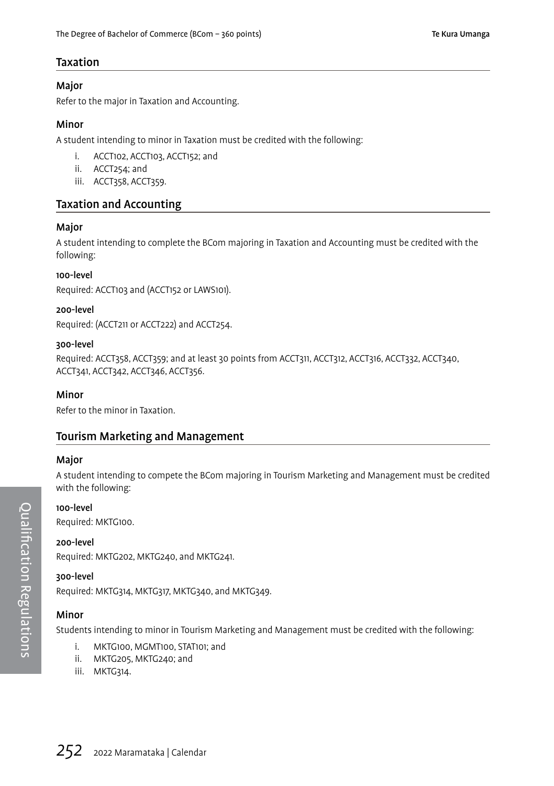#### Taxation

#### Major

Refer to the major in Taxation and Accounting.

#### Minor

A student intending to minor in Taxation must be credited with the following:

- i. ACCT102, ACCT103, ACCT152; and
- ii. ACCT254; and
- iii. ACCT358, ACCT359.

### Taxation and Accounting

#### Major

A student intending to complete the BCom majoring in Taxation and Accounting must be credited with the following:

#### 100-level

Required: ACCT103 and (ACCT152 or LAWS101).

#### 200-level

Required: (ACCT211 or ACCT222) and ACCT254.

#### 300-level

Required: ACCT358, ACCT359; and at least 30 points from ACCT311, ACCT312, ACCT316, ACCT332, ACCT340, ACCT341, ACCT342, ACCT346, ACCT356.

#### Minor

Refer to the minor in Taxation.

#### Tourism Marketing and Management

#### Major

A student intending to compete the BCom majoring in Tourism Marketing and Management must be credited with the following:

#### 100-level

Required: MKTG100.

#### 200-level

Required: MKTG202, MKTG240, and MKTG241.

#### 300-level

Required: MKTG314, MKTG317, MKTG340, and MKTG349.

#### Minor

Students intending to minor in Tourism Marketing and Management must be credited with the following:

- i. MKTG100, MGMT100, STAT101; and
- ii. MKTG205, MKTG240; and
- iii. MKTG314.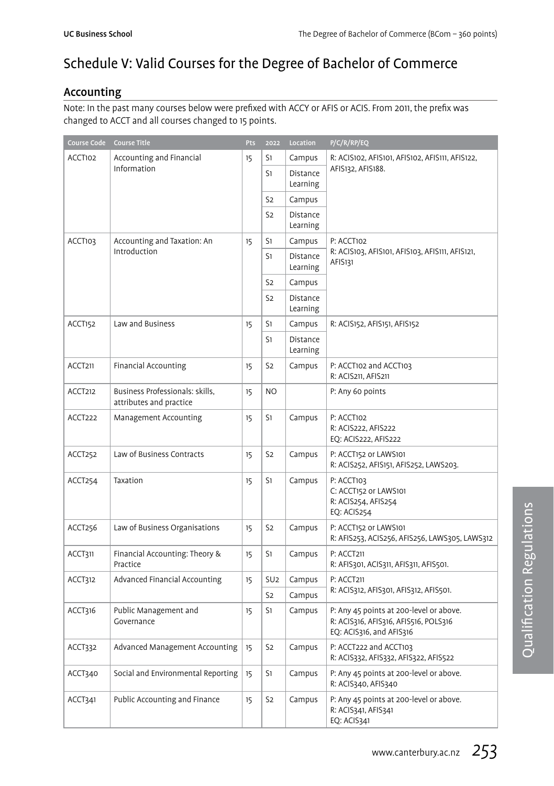# Schedule V: Valid Courses for the Degree of Bachelor of Commerce

### Accounting

Note: In the past many courses below were prefixed with ACCY or AFIS or ACIS. From 2011, the prefix was changed to ACCT and all courses changed to 15 points.

| Course Code | <b>Course Title</b>                                        | Pts | 2022            | Location             | P/C/R/RP/EQ                                                                                                  |
|-------------|------------------------------------------------------------|-----|-----------------|----------------------|--------------------------------------------------------------------------------------------------------------|
| ACCT102     | Accounting and Financial                                   | 15  | S1              | Campus               | R: ACIS102, AFIS101, AFIS102, AFIS111, AFIS122,                                                              |
|             | Information                                                |     | S1              | Distance<br>Learning | AFIS132, AFIS188.                                                                                            |
|             |                                                            |     | S <sub>2</sub>  | Campus               |                                                                                                              |
|             |                                                            |     | S <sub>2</sub>  | Distance<br>Learning |                                                                                                              |
| ACCT103     | Accounting and Taxation: An                                | 15  | S1              | Campus               | P: ACCT102                                                                                                   |
|             | Introduction                                               |     | S1              | Distance<br>Learning | R: ACIS103, AFIS101, AFIS103, AFIS111, AFIS121,<br>AFIS131                                                   |
|             |                                                            |     | S <sub>2</sub>  | Campus               |                                                                                                              |
|             |                                                            |     | S <sub>2</sub>  | Distance<br>Learning |                                                                                                              |
| ACCT152     | Law and Business                                           | 15  | S1              | Campus               | R: ACIS152, AFIS151, AFIS152                                                                                 |
|             |                                                            |     | S1              | Distance<br>Learning |                                                                                                              |
| ACCT211     | <b>Financial Accounting</b>                                | 15  | S <sub>2</sub>  | Campus               | P: ACCT102 and ACCT103<br>R: ACIS211, AFIS211                                                                |
| ACCT212     | Business Professionals: skills,<br>attributes and practice | 15  | N <sub>O</sub>  |                      | P: Any 60 points                                                                                             |
| ACCT222     | Management Accounting                                      | 15  | S1              | Campus               | P: ACCT102<br>R: ACIS222, AFIS222<br>EQ: ACIS222, AFIS222                                                    |
| ACCT252     | Law of Business Contracts                                  | 15  | S <sub>2</sub>  | Campus               | P: ACCT152 or LAWS101<br>R: ACIS252, AFIS151, AFIS252, LAWS203.                                              |
| ACCT254     | Taxation                                                   | 15  | S1              | Campus               | P: ACCT103<br>C: ACCT152 or LAWS101<br>R: ACIS254, AFIS254<br>EQ: ACIS254                                    |
| ACCT256     | Law of Business Organisations                              | 15  | S <sub>2</sub>  | Campus               | P: ACCT152 or LAWS101<br>R: AFIS253, ACIS256, AFIS256, LAWS305, LAWS312                                      |
| ACCT311     | Financial Accounting: Theory &<br>Practice                 | 15  | S1              | Campus               | P: ACCT211<br>R: AFIS301, ACIS311, AFIS311, AFIS501.                                                         |
| ACCT312     | Advanced Financial Accounting                              | 15  | SU <sub>2</sub> | Campus               | P: ACCT211                                                                                                   |
|             |                                                            |     | S <sub>2</sub>  | Campus               | R: ACIS312, AFIS301, AFIS312, AFIS501.                                                                       |
| ACCT316     | Public Management and<br>Governance                        | 15  | S1              | Campus               | P: Any 45 points at 200-level or above.<br>R: ACIS316, AFIS316, AFIS516, POLS316<br>EQ: ACIS316, and AFIS316 |
| ACCT332     | Advanced Management Accounting                             | 15  | S <sub>2</sub>  | Campus               | P: ACCT222 and ACCT103<br>R: ACIS332, AFIS332, AFIS322, AFIS522                                              |
| ACCT340     | Social and Environmental Reporting                         | 15  | S1              | Campus               | P: Any 45 points at 200-level or above.<br>R: ACIS340, AFIS340                                               |
| ACCT341     | Public Accounting and Finance                              | 15  | S <sub>2</sub>  | Campus               | P: Any 45 points at 200-level or above.<br>R: ACIS341, AFIS341<br>EQ: ACIS341                                |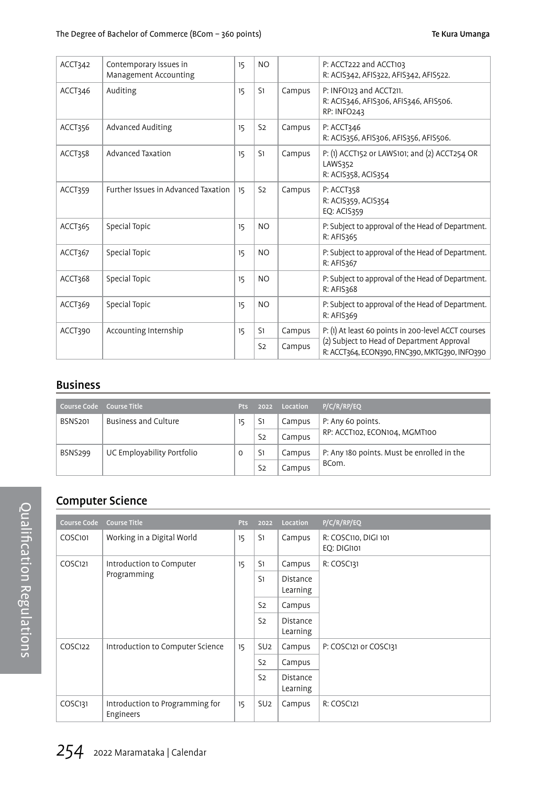| ACCT342 | Contemporary Issues in<br>Management Accounting | 15 | N <sub>O</sub> |        | P: ACCT222 and ACCT103<br>R: ACIS342, AFIS322, AFIS342, AFIS522.                             |
|---------|-------------------------------------------------|----|----------------|--------|----------------------------------------------------------------------------------------------|
| ACCT346 | Auditing                                        | 15 | S1             | Campus | P: INFO123 and ACCT211.<br>R: ACIS346, AFIS306, AFIS346, AFIS506.<br>RP: INFO243             |
| ACCT356 | Advanced Auditing                               | 15 | S <sub>2</sub> | Campus | P: ACCT346<br>R: ACIS356, AFIS306, AFIS356, AFIS506.                                         |
| ACCT358 | Advanced Taxation                               | 15 | S1             | Campus | P: (1) ACCT152 or LAWS101; and (2) ACCT254 OR<br>LAWS352<br>R: ACIS358, ACIS354              |
| ACCT359 | Further Issues in Advanced Taxation             | 15 | S <sub>2</sub> | Campus | P: ACCT358<br>R: ACIS359, ACIS354<br><b>EO: ACIS359</b>                                      |
| ACCT365 | Special Topic                                   | 15 | N <sub>O</sub> |        | P: Subject to approval of the Head of Department.<br>R: AFIS365                              |
| ACCT367 | Special Topic                                   | 15 | N <sub>O</sub> |        | P: Subject to approval of the Head of Department.<br>R: AFIS367                              |
| ACCT368 | Special Topic                                   | 15 | N <sub>O</sub> |        | P: Subject to approval of the Head of Department.<br>R: AFIS368                              |
| ACCT369 | Special Topic                                   | 15 | N <sub>O</sub> |        | P: Subject to approval of the Head of Department.<br>R: AFIS369                              |
| ACCT390 | Accounting Internship                           | 15 | S1             | Campus | P: (1) At least 60 points in 200-level ACCT courses                                          |
|         |                                                 |    | S <sub>2</sub> | Campus | (2) Subject to Head of Department Approval<br>R: ACCT364, ECON390, FINC390, MKTG390, INFO390 |

### Business

| Course Code    | Course Title               | <b>Pts</b> | 2022           | Location | P/C/R/RP/EO                                |
|----------------|----------------------------|------------|----------------|----------|--------------------------------------------|
| <b>BSNS201</b> | Business and Culture       | 15         | S1             | Campus   | P: Any 60 points.                          |
|                |                            |            | S <sub>2</sub> | Campus   | RP: ACCT102, ECON104, MGMT100              |
| BSNS299        | UC Employability Portfolio | 0          | S1             | Campus   | P: Any 180 points. Must be enrolled in the |
|                |                            |            | S <sub>2</sub> | Campus   | BCom.                                      |

## Computer Science

| <b>Course Code</b> | <b>Course Title</b>                          | <b>Pts</b> | 2022                        | Location                    | P/C/R/RP/EQ                         |
|--------------------|----------------------------------------------|------------|-----------------------------|-----------------------------|-------------------------------------|
| COSC101            | Working in a Digital World                   | 15         | S1                          | Campus                      | R: COSC110, DIGI 101<br>EO: DIGI101 |
| COSC121            | Introduction to Computer                     | 15         | S1                          | Campus                      | R: COSC131                          |
| Programming        |                                              | S1         | <b>Distance</b><br>Learning |                             |                                     |
|                    |                                              |            | S <sub>2</sub>              | Campus                      |                                     |
|                    |                                              |            | S <sub>2</sub>              | <b>Distance</b><br>Learning |                                     |
| COSC122            | Introduction to Computer Science             | 15         | SU <sub>2</sub>             | Campus                      | P: COSC121 or COSC131               |
|                    |                                              |            | S <sub>2</sub>              | Campus                      |                                     |
|                    |                                              |            | S <sub>2</sub>              | Distance<br>Learning        |                                     |
| COSC131            | Introduction to Programming for<br>Engineers | 15         | SU <sub>2</sub>             | Campus                      | R: COSC121                          |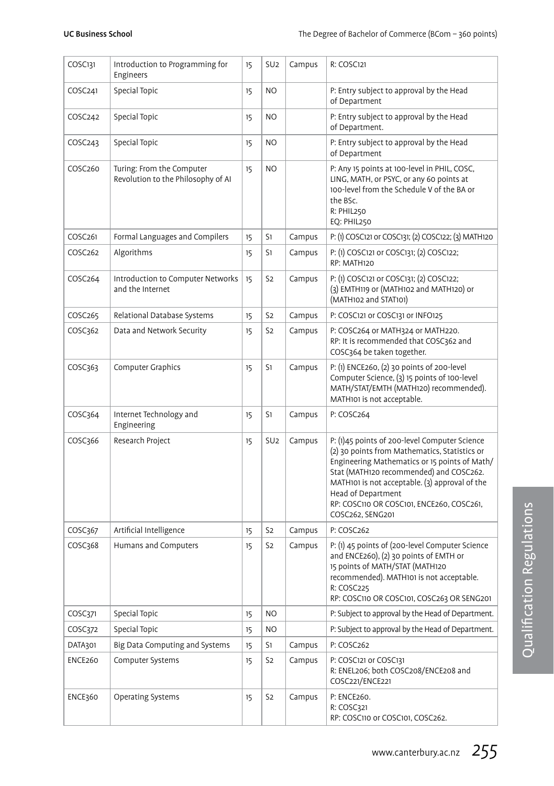| COSC <sub>131</sub> | Introduction to Programming for<br>Engineers                    | 15 | SU <sub>2</sub> | Campus | R: COSC121                                                                                                                                                                                                                                                                                                                          |
|---------------------|-----------------------------------------------------------------|----|-----------------|--------|-------------------------------------------------------------------------------------------------------------------------------------------------------------------------------------------------------------------------------------------------------------------------------------------------------------------------------------|
| COSC <sub>241</sub> | Special Topic                                                   | 15 | N <sub>O</sub>  |        | P: Entry subject to approval by the Head<br>of Department                                                                                                                                                                                                                                                                           |
| COSC <sub>242</sub> | Special Topic                                                   | 15 | N <sub>O</sub>  |        | P: Entry subject to approval by the Head<br>of Department.                                                                                                                                                                                                                                                                          |
| COSC <sub>243</sub> | Special Topic                                                   | 15 | NO              |        | P: Entry subject to approval by the Head<br>of Department                                                                                                                                                                                                                                                                           |
| COSC260             | Turing: From the Computer<br>Revolution to the Philosophy of AI | 15 | NO              |        | P: Any 15 points at 100-level in PHIL, COSC,<br>LING, MATH, or PSYC, or any 60 points at<br>100-level from the Schedule V of the BA or<br>the BSc.<br>R: PHIL250<br>EQ: PHIL250                                                                                                                                                     |
| COSC261             | Formal Languages and Compilers                                  | 15 | S1              | Campus | P: (1) COSC121 or COSC131; (2) COSC122; (3) MATH120                                                                                                                                                                                                                                                                                 |
| COSC <sub>262</sub> | Algorithms                                                      | 15 | S1              | Campus | P: (1) COSC121 or COSC131; (2) COSC122;<br>RP: MATH120                                                                                                                                                                                                                                                                              |
| COSC <sub>264</sub> | Introduction to Computer Networks<br>and the Internet           | 15 | S <sub>2</sub>  | Campus | P: (1) COSC121 or COSC131; (2) COSC122;<br>(3) EMTH119 or (MATH102 and MATH120) or<br>(MATH102 and STAT101)                                                                                                                                                                                                                         |
| COSC <sub>265</sub> | Relational Database Systems                                     | 15 | S <sub>2</sub>  | Campus | P: COSC121 or COSC131 or INFO125                                                                                                                                                                                                                                                                                                    |
| COSC362             | Data and Network Security                                       | 15 | S <sub>2</sub>  | Campus | P: COSC264 or MATH324 or MATH220.<br>RP: It is recommended that COSC362 and<br>COSC364 be taken together.                                                                                                                                                                                                                           |
| COSC363             | Computer Graphics                                               | 15 | S1              | Campus | P: (1) ENCE260, (2) 30 points of 200-level<br>Computer Science, (3) 15 points of 100-level<br>MATH/STAT/EMTH (MATH120) recommended).<br>MATH101 is not acceptable.                                                                                                                                                                  |
| COSC364             | Internet Technology and<br>Engineering                          | 15 | S1              | Campus | P: COSC264                                                                                                                                                                                                                                                                                                                          |
| COSC366             | Research Project                                                | 15 | SU <sub>2</sub> | Campus | P: (1)45 points of 200-level Computer Science<br>(2) 30 points from Mathematics, Statistics or<br>Engineering Mathematics or 15 points of Math/<br>Stat (MATH120 recommended) and COSC262.<br>MATH101 is not acceptable. (3) approval of the<br>Head of Department<br>RP: COSC110 OR COSC101, ENCE260, COSC261,<br>COSC262, SENG201 |
| COSC367             | Artificial Intelligence                                         | 15 | S <sub>2</sub>  | Campus | P: COSC262                                                                                                                                                                                                                                                                                                                          |
| COSC368             | Humans and Computers                                            | 15 | S <sub>2</sub>  | Campus | P: (1) 45 points of (200-level Computer Science<br>and ENCE260), (2) 30 points of EMTH or<br>15 points of MATH/STAT (MATH120<br>recommended). MATH101 is not acceptable.<br>R: COSC225<br>RP: COSC110 OR COSC101, COSC263 OR SENG201                                                                                                |
| COSC371             | Special Topic                                                   | 15 | N <sub>O</sub>  |        | P: Subject to approval by the Head of Department.                                                                                                                                                                                                                                                                                   |
| COSC372             | Special Topic                                                   | 15 | <b>NO</b>       |        | P: Subject to approval by the Head of Department.                                                                                                                                                                                                                                                                                   |
| DATA301             | Big Data Computing and Systems                                  | 15 | S1              | Campus | P: COSC262                                                                                                                                                                                                                                                                                                                          |
| ENCE260             | Computer Systems                                                | 15 | S <sub>2</sub>  | Campus | P: COSC121 or COSC131<br>R: ENEL206; both COSC208/ENCE208 and<br>COSC221/ENCE221                                                                                                                                                                                                                                                    |
| <b>ENCE360</b>      | Operating Systems                                               | 15 | S <sub>2</sub>  | Campus | P: ENCE260.<br>R: COSC321<br>RP: COSC110 or COSC101, COSC262.                                                                                                                                                                                                                                                                       |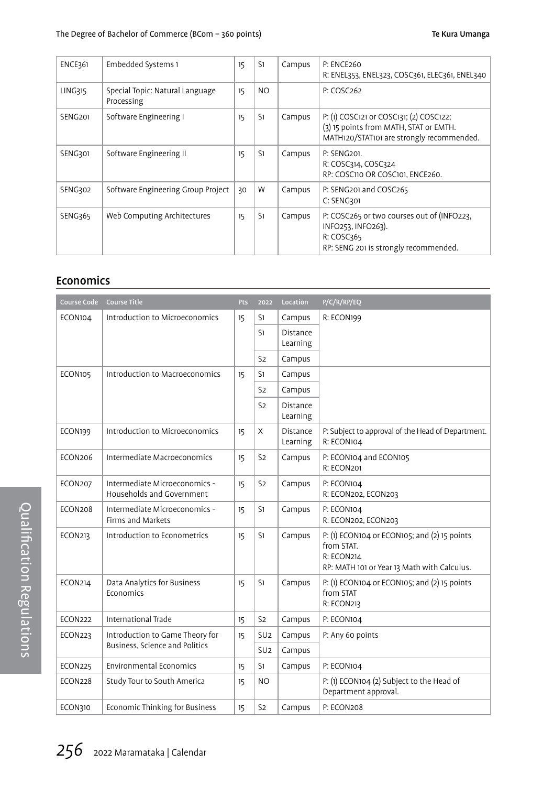| <b>ENCE361</b> | Embedded Systems 1                            | 15 | S <sub>1</sub> | Campus | <b>P: ENCE260</b><br>R: ENEL353, ENEL323, COSC361, ELEC361, ENEL340                                                            |
|----------------|-----------------------------------------------|----|----------------|--------|--------------------------------------------------------------------------------------------------------------------------------|
| LING315        | Special Topic: Natural Language<br>Processing | 15 | NO.            |        | P: COSC <sub>262</sub>                                                                                                         |
| SENG201        | Software Engineering I                        | 15 | S1             | Campus | P: (1) COSC121 or COSC131; (2) COSC122;<br>(3) 15 points from MATH, STAT or EMTH.<br>MATH120/STAT101 are strongly recommended. |
| SENG301        | Software Engineering II                       | 15 | S <sub>1</sub> | Campus | P: SENG201.<br>R: COSC314, COSC324<br>RP: COSC110 OR COSC101. ENCE260.                                                         |
| SENG302        | Software Engineering Group Project            | 30 | W              | Campus | P: SENG201 and COSC265<br>C: SENG301                                                                                           |
| SENG365        | Web Computing Architectures                   | 15 | S <sub>1</sub> | Campus | P: COSC265 or two courses out of (INFO223,<br>INFO253, INFO263).<br>R: COSC365<br>RP: SENG 201 is strongly recommended.        |

### Economics

| Course Code    | <b>Course Title</b>                                        | Pts | 2022            | Location                    | P/C/R/RP/EQ                                                                                                             |
|----------------|------------------------------------------------------------|-----|-----------------|-----------------------------|-------------------------------------------------------------------------------------------------------------------------|
| ECON104        | Introduction to Microeconomics                             | 15  | S1              | Campus                      | R: ECON199                                                                                                              |
|                |                                                            |     | S1              | <b>Distance</b><br>Learning |                                                                                                                         |
|                |                                                            |     | S <sub>2</sub>  | Campus                      |                                                                                                                         |
| ECON105        | Introduction to Macroeconomics                             | 15  | S1              | Campus                      |                                                                                                                         |
|                |                                                            |     | S <sub>2</sub>  | Campus                      |                                                                                                                         |
|                |                                                            |     | S <sub>2</sub>  | Distance<br>Learning        |                                                                                                                         |
| ECON199        | Introduction to Microeconomics                             | 15  | X               | Distance<br>Learning        | P: Subject to approval of the Head of Department.<br>R: ECON104                                                         |
| ECON206        | Intermediate Macroeconomics                                | 15  | S <sub>2</sub>  | Campus                      | P: ECON104 and ECON105<br>R: ECON201                                                                                    |
| ECON207        | Intermediate Microeconomics -<br>Households and Government | 15  | S <sub>2</sub>  | Campus                      | P: ECON104<br>R: ECON202, ECON203                                                                                       |
| ECON208        | Intermediate Microeconomics -<br><b>Firms and Markets</b>  | 15  | S1              | Campus                      | P: ECON104<br>R: ECON202, ECON203                                                                                       |
| <b>ECON213</b> | Introduction to Econometrics                               | 15  | S1              | Campus                      | P: (1) ECON104 or ECON105; and (2) 15 points<br>from STAT.<br>R: ECON214<br>RP: MATH 101 or Year 13 Math with Calculus. |
| ECON214        | Data Analytics for Business<br>Economics                   | 15  | S1              | Campus                      | P: (1) ECON104 or ECON105; and (2) 15 points<br>from STAT<br>R: ECON213                                                 |
| ECON222        | International Trade                                        | 15  | S <sub>2</sub>  | Campus                      | P: ECON104                                                                                                              |
| ECON223        | Introduction to Game Theory for                            | 15  | SU <sub>2</sub> | Campus                      | P: Any 60 points                                                                                                        |
|                | Business, Science and Politics                             |     | SU <sub>2</sub> | Campus                      |                                                                                                                         |
| ECON225        | <b>Environmental Economics</b>                             | 15  | S1              | Campus                      | P: ECON104                                                                                                              |
| ECON228        | Study Tour to South America                                | 15  | NO.             |                             | P: (1) ECON104 (2) Subject to the Head of<br>Department approval.                                                       |
| ECON310        | Economic Thinking for Business                             | 15  | S <sub>2</sub>  | Campus                      | P: ECON208                                                                                                              |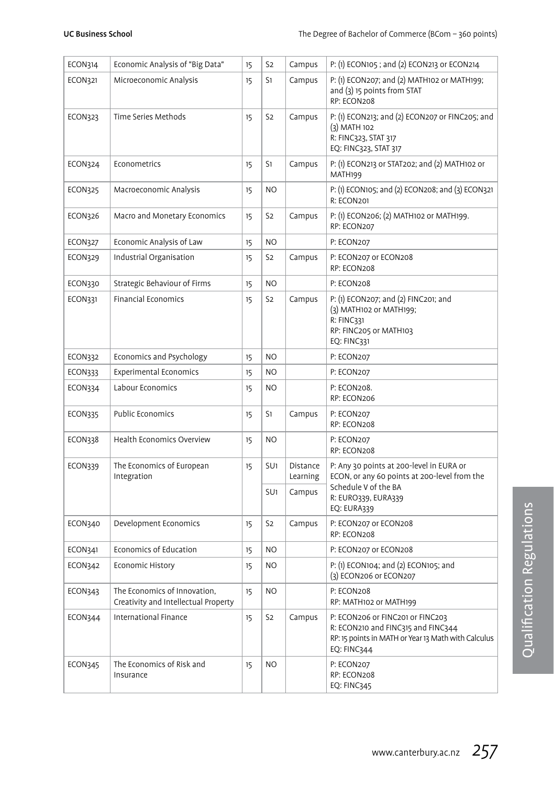| ECON314        | Economic Analysis of "Big Data"                                      | 15 | S <sub>2</sub>  | Campus               | P: (1) ECON105 ; and (2) ECON213 or ECON214                                                                                                  |
|----------------|----------------------------------------------------------------------|----|-----------------|----------------------|----------------------------------------------------------------------------------------------------------------------------------------------|
| <b>ECON321</b> | Microeconomic Analysis                                               | 15 | S1              | Campus               | P: (1) ECON207; and (2) MATH102 or MATH199;<br>and (3) 15 points from STAT<br>RP: ECON208                                                    |
| <b>ECON323</b> | Time Series Methods                                                  | 15 | S <sub>2</sub>  | Campus               | P: (1) ECON213; and (2) ECON207 or FINC205; and<br>(3) MATH 102<br>R: FINC323, STAT 317<br>EQ: FINC323, STAT 317                             |
| ECON324        | Econometrics                                                         | 15 | S1              | Campus               | P: (1) ECON213 or STAT202; and (2) MATH102 or<br>MATH199                                                                                     |
| <b>ECON325</b> | Macroeconomic Analysis                                               | 15 | NO.             |                      | P: (1) ECON105; and (2) ECON208; and (3) ECON321<br>R: ECON201                                                                               |
| ECON326        | Macro and Monetary Economics                                         | 15 | S <sub>2</sub>  | Campus               | P: (1) ECON206; (2) MATH102 or MATH199.<br>RP: ECON207                                                                                       |
| ECON327        | Economic Analysis of Law                                             | 15 | NO.             |                      | P: ECON207                                                                                                                                   |
| ECON329        | Industrial Organisation                                              | 15 | S <sub>2</sub>  | Campus               | P: ECON207 or ECON208<br>RP: ECON208                                                                                                         |
| ECON330        | Strategic Behaviour of Firms                                         | 15 | N <sub>O</sub>  |                      | P: ECON208                                                                                                                                   |
| <b>ECON331</b> | <b>Financial Economics</b>                                           | 15 | S <sub>2</sub>  | Campus               | P: (1) ECON207; and (2) FINC201; and<br>(3) MATH102 or MATH199;<br>R: FINC331<br>RP: FINC205 or MATH103<br><b>EQ: FINC331</b>                |
| <b>ECON332</b> | Economics and Psychology                                             | 15 | N <sub>O</sub>  |                      | P: ECON207                                                                                                                                   |
| ECON333        | <b>Experimental Economics</b>                                        | 15 | N <sub>O</sub>  |                      | P: ECON207                                                                                                                                   |
| <b>ECON334</b> | Labour Economics                                                     | 15 | N <sub>O</sub>  |                      | P: ECON208.<br>RP: ECON206                                                                                                                   |
| <b>ECON335</b> | Public Economics                                                     | 15 | S1              | Campus               | P: ECON207<br>RP: ECON208                                                                                                                    |
| ECON338        | Health Economics Overview                                            | 15 | NO.             |                      | P: ECON207<br>RP: ECON208                                                                                                                    |
| ECON339        | The Economics of European<br>Integration                             | 15 | SU <sub>1</sub> | Distance<br>Learning | P: Any 30 points at 200-level in EURA or<br>ECON, or any 60 points at 200-level from the                                                     |
|                |                                                                      |    | SU <sub>1</sub> | Campus               | Schedule V of the BA<br>R: EURO339, EURA339<br>EQ: EURA339                                                                                   |
| ECON340        | Development Economics                                                | 15 | S <sub>2</sub>  | Campus               | P: ECON207 or ECON208<br>RP: ECON208                                                                                                         |
| ECON341        | Economics of Education                                               | 15 | NO.             |                      | P: ECON207 or ECON208                                                                                                                        |
| <b>ECON342</b> | Economic History                                                     | 15 | NO              |                      | P: (1) ECON104; and (2) ECON105; and<br>(3) ECON206 or ECON207                                                                               |
| ECON343        | The Economics of Innovation,<br>Creativity and Intellectual Property | 15 | N <sub>O</sub>  |                      | P: ECON208<br>RP: MATH102 or MATH199                                                                                                         |
| ECON344        | International Finance                                                | 15 | S <sub>2</sub>  | Campus               | P: ECON206 or FINC201 or FINC203<br>R: ECON210 and FINC315 and FINC344<br>RP: 15 points in MATH or Year 13 Math with Calculus<br>EQ: FINC344 |
| <b>ECON345</b> | The Economics of Risk and<br>Insurance                               | 15 | NO.             |                      | P: ECON207<br>RP: ECON208<br><b>EQ: FINC345</b>                                                                                              |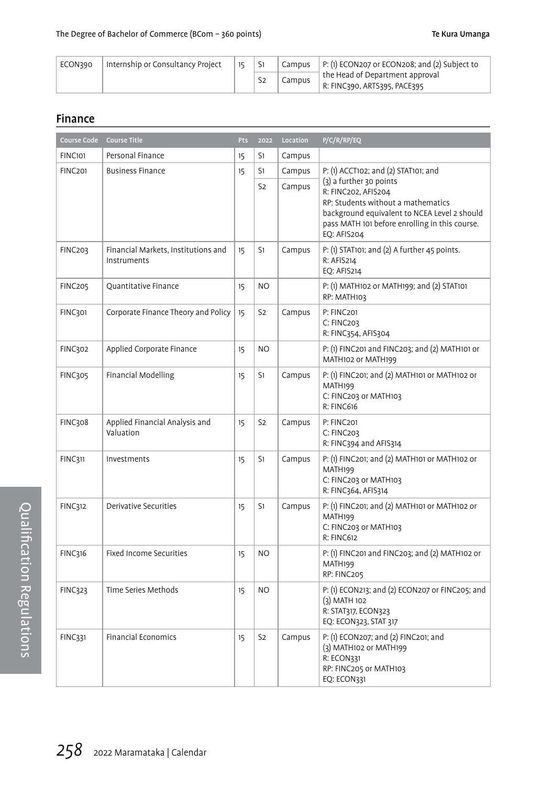| ECON390 | Internship or Consultancy Project | 15 | S1             |        | Campus $\vert$ P: (1) ECON207 or ECON208; and (2) Subject to    |
|---------|-----------------------------------|----|----------------|--------|-----------------------------------------------------------------|
|         |                                   |    | S <sub>2</sub> | Campus | the Head of Department approval<br>R: FINC390, ARTS395, PACE395 |

### Finance

| Course Code    | <b>Course Title</b>                                | Pts | 2022           | Location | P/C/R/RP/EQ                                                                                                                                                                                           |
|----------------|----------------------------------------------------|-----|----------------|----------|-------------------------------------------------------------------------------------------------------------------------------------------------------------------------------------------------------|
| <b>FINC101</b> | Personal Finance                                   | 15  | S1             | Campus   |                                                                                                                                                                                                       |
| <b>FINC201</b> | <b>Business Finance</b>                            | 15  | S1             | Campus   | P: (1) ACCT102; and (2) STAT101; and                                                                                                                                                                  |
|                |                                                    |     | S <sub>2</sub> | Campus   | (3) a further 30 points<br>R: FINC202. AFIS204<br>RP: Students without a mathematics<br>background equivalent to NCEA Level 2 should<br>pass MATH 101 before enrolling in this course.<br>EQ: AFIS204 |
| <b>FINC203</b> | Financial Markets, Institutions and<br>Instruments | 15  | S1             | Campus   | P: (1) STAT101; and (2) A further 45 points.<br>R: AFIS214<br><b>EO: AFIS214</b>                                                                                                                      |
| <b>FINC205</b> | <b>Quantitative Finance</b>                        | 15  | N <sub>O</sub> |          | P: (1) MATH102 or MATH199; and (2) STAT101<br>RP: MATH103                                                                                                                                             |
| <b>FINC301</b> | Corporate Finance Theory and Policy                | 15  | S <sub>2</sub> | Campus   | P: FINC201<br>C: FINC203<br>R: FINC354, AFIS304                                                                                                                                                       |
| <b>FINC302</b> | Applied Corporate Finance                          | 15  | NO.            |          | P: (1) FINC201 and FINC203; and (2) MATH101 or<br>MATH102 or MATH199                                                                                                                                  |
| <b>FINC305</b> | Financial Modelling                                | 15  | S1             | Campus   | P: (1) FINC201; and (2) MATH101 or MATH102 or<br>MATH199<br>C: FINC203 or MATH103<br>R: FINC616                                                                                                       |
| <b>FINC308</b> | Applied Financial Analysis and<br>Valuation        | 15  | S2             | Campus   | P: FINC201<br>C: FINC203<br>R: FINC394 and AFIS314                                                                                                                                                    |
| <b>FINC311</b> | Investments                                        | 15  | S1             | Campus   | P: (1) FINC201; and (2) MATH101 or MATH102 or<br>MATH199<br>C: FINC203 or MATH103<br>R: FINC364, AFIS314                                                                                              |
| <b>FINC312</b> | Derivative Securities                              | 15  | S1             | Campus   | P: (1) FINC201; and (2) MATH101 or MATH102 or<br>MATH199<br>C: FINC203 or MATH103<br>R: FINC612                                                                                                       |
| <b>FINC316</b> | Fixed Income Securities                            | 15  | NO.            |          | P: (1) FINC201 and FINC203; and (2) MATH102 or<br>MATH199<br>RP: FINC205                                                                                                                              |
| <b>FINC323</b> | Time Series Methods                                | 15  | NO.            |          | P: (1) ECON213; and (2) ECON207 or FINC205; and<br>(3) MATH 102<br>R: STAT317, ECON323<br>EQ: ECON323, STAT 317                                                                                       |
| FINC331        | Financial Economics                                | 15  | S <sub>2</sub> | Campus   | P: (1) ECON207; and (2) FINC201; and<br>(3) MATH102 or MATH199<br>R: ECON331<br>RP: FINC205 or MATH103<br><b>EQ: ECON331</b>                                                                          |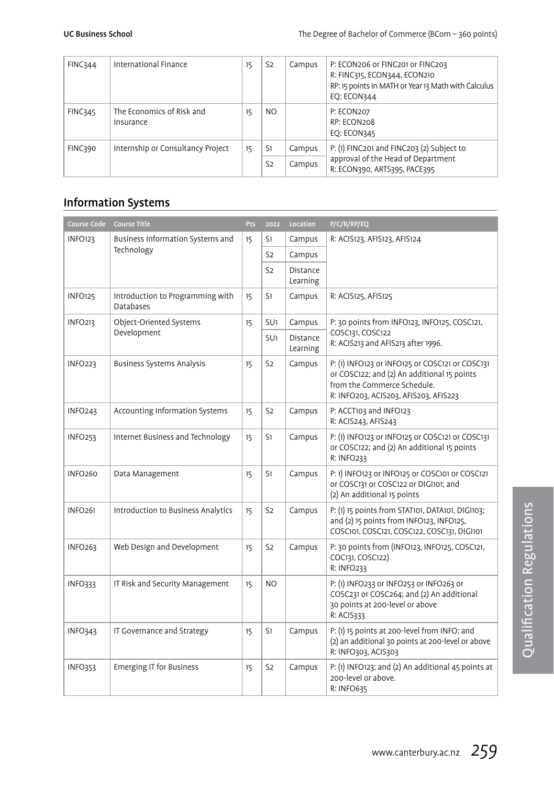| FINC344        | International Finance                  | 15 | S <sub>2</sub> | Campus | P: ECON206 or FINC201 or FINC203<br>R: FINC315, ECON344, ECON210<br>RP: 15 points in MATH or Year 13 Math with Calculus<br>EO: ECON344 |
|----------------|----------------------------------------|----|----------------|--------|----------------------------------------------------------------------------------------------------------------------------------------|
| <b>FINC345</b> | The Economics of Risk and<br>Insurance | 15 | NO.            |        | P: ECON207<br>RP: ECON208<br><b>EO: ECON345</b>                                                                                        |
| FINC390        | Internship or Consultancy Project      | 15 | S1             | Campus | P: (1) FINC201 and FINC203 (2) Subject to                                                                                              |
|                |                                        |    | S <sub>2</sub> | Campus | approval of the Head of Department<br>R: ECON390, ARTS395, PACE395                                                                     |

### Information Systems

| Course Code         | <b>Course Title</b>                           | Pts | 2022            | Location             | P/C/R/RP/EQ                                                                                                                                                            |
|---------------------|-----------------------------------------------|-----|-----------------|----------------------|------------------------------------------------------------------------------------------------------------------------------------------------------------------------|
| <b>INFO123</b>      | Business Information Systems and              | 15  | S1              | Campus               | R: ACIS123, AFIS123, AFIS124                                                                                                                                           |
|                     | Technology                                    |     | S2              | Campus               |                                                                                                                                                                        |
|                     |                                               |     | S2              | Distance<br>Learning |                                                                                                                                                                        |
| <b>INFO125</b>      | Introduction to Programming with<br>Databases | 15  | S1              | Campus               | R: ACIS125, AFIS125                                                                                                                                                    |
| <b>INFO213</b>      | Object-Oriented Systems                       | 15  | SU <sub>1</sub> | Campus               | P: 30 points from INFO123, INFO125, COSC121,                                                                                                                           |
|                     | Development                                   |     | SU <sub>1</sub> | Distance<br>Learning | COSC131, COSC122<br>R: ACIS213 and AFIS213 after 1996.                                                                                                                 |
| INFO <sub>223</sub> | <b>Business Systems Analysis</b>              | 15  | S <sub>2</sub>  | Campus               | P: (1) INFO123 or INFO125 or COSC121 or COSC131<br>or COSC122; and (2) An additional 15 points<br>from the Commerce Schedule.<br>R: INFO203, ACIS203, AFIS203, AFIS223 |
| INFO <sub>243</sub> | Accounting Information Systems                | 15  | S <sub>2</sub>  | Campus               | P: ACCT103 and INFO123<br>R: ACIS243, AFIS243                                                                                                                          |
| INFO <sub>253</sub> | Internet Business and Technology              | 15  | S1              | Campus               | P: (1) INFO123 or INFO125 or COSC121 or COSC131<br>or COSC122; and (2) An additional 15 points<br><b>R: INFO233</b>                                                    |
| <b>INFO260</b>      | Data Management                               | 15  | S1              | Campus               | P: 1) INFO123 or INFO125 or COSC101 or COSC121<br>or COSC131 or COSC122 or DIGI101; and<br>(2) An additional 15 points                                                 |
| <b>INFO261</b>      | Introduction to Business Analytics            | 15  | S <sub>2</sub>  | Campus               | P: (1) 15 points from STAT101, DATA101, DIGI103;<br>and (2) 15 points from INFO123, INFO125,<br>COSC101, COSC121, COSC122, COSC131, DIGI101                            |
| INFO <sub>263</sub> | Web Design and Development                    | 15  | S <sub>2</sub>  | Campus               | P: 30 points from (INFO123, INFO125, COSC121,<br>COC131, COSC122)<br>R: INFO233                                                                                        |
| INFO333             | IT Risk and Security Management               | 15  | N <sub>O</sub>  |                      | P: (1) INFO233 or INFO253 or INFO263 or<br>COSC231 or COSC264; and (2) An additional<br>30 points at 200-level or above<br>R: ACIS333                                  |
| <b>INFO343</b>      | IT Governance and Strategy                    | 15  | S1              | Campus               | P: (1) 15 points at 200-level from INFO; and<br>(2) an additional 30 points at 200-level or above<br>R: INFO303, ACIS303                                               |
| <b>INFO353</b>      | <b>Emerging IT for Business</b>               | 15  | S <sub>2</sub>  | Campus               | P: (1) INFO123; and (2) An additional 45 points at<br>200-level or above.<br>R: INFO635                                                                                |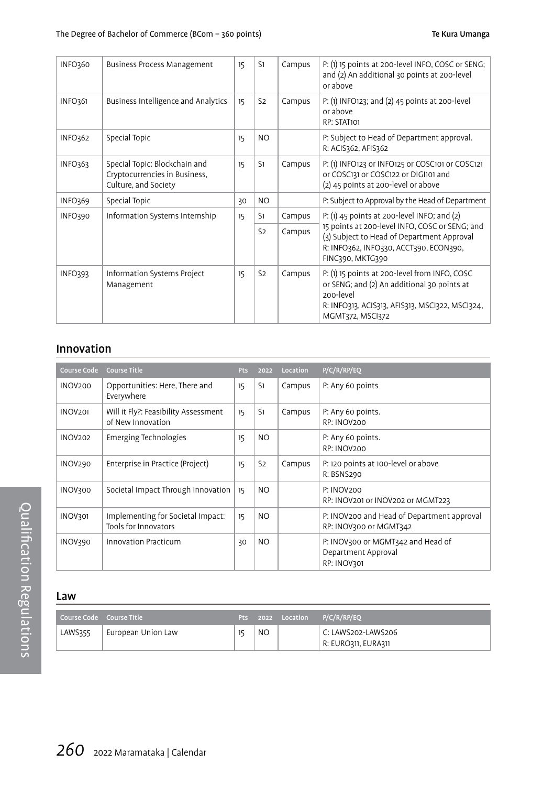| INFO360        | Business Process Management                                                            | 15 | S1             | Campus | P: (1) 15 points at 200-level INFO, COSC or SENG;<br>and (2) An additional 30 points at 200-level<br>or above                                                                    |
|----------------|----------------------------------------------------------------------------------------|----|----------------|--------|----------------------------------------------------------------------------------------------------------------------------------------------------------------------------------|
| INFO361        | Business Intelligence and Analytics                                                    | 15 | S <sub>2</sub> | Campus | P: (1) INFO123; and (2) 45 points at 200-level<br>or above<br>RP: STAT101                                                                                                        |
| INFO362        | Special Topic                                                                          | 15 | NO.            |        | P: Subject to Head of Department approval.<br>R: ACIS362, AFIS362                                                                                                                |
| INFO363        | Special Topic: Blockchain and<br>Cryptocurrencies in Business,<br>Culture, and Society | 15 | S1             | Campus | P: (1) INFO123 or INFO125 or COSC101 or COSC121<br>or COSC131 or COSC122 or DIGI101 and<br>(2) 45 points at 200-level or above                                                   |
| INFO369        | Special Topic                                                                          | 30 | N <sub>O</sub> |        | P: Subject to Approval by the Head of Department                                                                                                                                 |
| INFO390        | Information Systems Internship                                                         | 15 | S1             | Campus | $P: (1)$ 45 points at 200-level INFO; and $(2)$                                                                                                                                  |
|                |                                                                                        |    | S <sub>2</sub> | Campus | 15 points at 200-level INFO, COSC or SENG; and<br>(3) Subject to Head of Department Approval<br>R: INFO362, INFO330, ACCT390, ECON390,<br>FINC390, MKTG390                       |
| <b>INFO393</b> | Information Systems Project<br>Management                                              | 15 | S <sub>2</sub> | Campus | P: (1) 15 points at 200-level from INFO, COSC<br>or SENG; and (2) An additional 30 points at<br>200-level<br>R: INFO313, ACIS313, AFIS313, MSCI322, MSCI324,<br>MGMT372, MSCI372 |

### Innovation

| <b>Course Code</b> | <b>Course Title</b>                                       | <b>Pts</b> | 2022           | Location | P/C/R/RP/EQ                                                             |
|--------------------|-----------------------------------------------------------|------------|----------------|----------|-------------------------------------------------------------------------|
| <b>INOV200</b>     | Opportunities: Here, There and<br>Everywhere              | 15         | S <sub>1</sub> | Campus   | P: Any 60 points                                                        |
| <b>INOV201</b>     | Will it Fly?: Feasibility Assessment<br>of New Innovation | 15         | S <sub>1</sub> | Campus   | P: Any 60 points.<br>RP: INOV200                                        |
| <b>INOV202</b>     | Emerging Technologies                                     | 15         | NO.            |          | P: Any 60 points.<br>RP: INOV200                                        |
| <b>INOV290</b>     | Enterprise in Practice (Project)                          | 15         | S <sub>2</sub> | Campus   | P: 120 points at 100-level or above<br>R: BSNS290                       |
| <b>INOV300</b>     | Societal Impact Through Innovation                        | 15         | N <sub>O</sub> |          | P: INOV200<br>RP: INOV201 or INOV202 or MGMT223                         |
| <b>INOV301</b>     | Implementing for Societal Impact:<br>Tools for Innovators | 15         | NO.            |          | P: INOV200 and Head of Department approval<br>RP: INOV300 or MGMT342    |
| INOV390            | Innovation Practicum                                      | 30         | NO.            |          | P: INOV300 or MGMT342 and Head of<br>Department Approval<br>RP: INOV301 |

### Law

| Course Code Course Title |                    | <b>Pts</b> |                | 2022 Location P/C/R/RP/EQ                 |
|--------------------------|--------------------|------------|----------------|-------------------------------------------|
| LAWS355                  | European Union Law |            | N <sub>O</sub> | C: LAWS202-LAWS206<br>R: EURO311, EURA311 |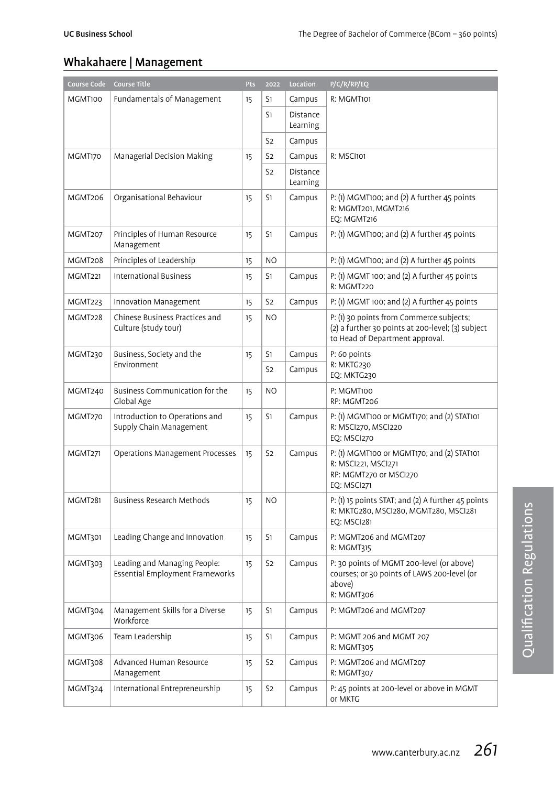### Whakahaere | Management

| Course Code    | <b>Course Title</b>                                             | Pts | 2022           | Location             | P/C/R/RP/EQ                                                                                                                      |
|----------------|-----------------------------------------------------------------|-----|----------------|----------------------|----------------------------------------------------------------------------------------------------------------------------------|
| MGMT100        | Fundamentals of Management                                      | 15  | S1             | Campus               | R: MGMT101                                                                                                                       |
|                |                                                                 |     | S1             | Distance<br>Learning |                                                                                                                                  |
|                |                                                                 |     | S <sub>2</sub> | Campus               |                                                                                                                                  |
| MGMT170        | Managerial Decision Making                                      | 15  | S <sub>2</sub> | Campus               | R: MSCI101                                                                                                                       |
|                |                                                                 |     | S <sub>2</sub> | Distance<br>Learning |                                                                                                                                  |
| MGMT206        | Organisational Behaviour                                        | 15  | S1             | Campus               | P: (1) MGMT100; and (2) A further 45 points<br>R: MGMT201, MGMT216<br>EO: MGMT216                                                |
| MGMT207        | Principles of Human Resource<br>Management                      | 15  | S1             | Campus               | $P: (1)$ MGMT100; and $(2)$ A further 45 points                                                                                  |
| MGMT208        | Principles of Leadership                                        | 15  | N <sub>O</sub> |                      | P: (1) MGMT100; and (2) A further 45 points                                                                                      |
| MGMT221        | <b>International Business</b>                                   | 15  | S1             | Campus               | P: (1) MGMT 100; and (2) A further 45 points<br>R: MGMT220                                                                       |
| MGMT223        | Innovation Management                                           | 15  | S <sub>2</sub> | Campus               | P: (1) MGMT 100; and (2) A further 45 points                                                                                     |
| MGMT228        | Chinese Business Practices and<br>Culture (study tour)          | 15  | N <sub>O</sub> |                      | P: (1) 30 points from Commerce subjects;<br>(2) a further 30 points at 200-level; (3) subject<br>to Head of Department approval. |
| MGMT230        | Business, Society and the                                       | 15  | S1             | Campus               | P: 60 points                                                                                                                     |
|                | Environment                                                     |     | S <sub>2</sub> | Campus               | R: MKTG230<br>EQ: MKTG230                                                                                                        |
| MGMT240        | Business Communication for the<br>Global Age                    | 15  | N <sub>O</sub> |                      | P: MGMT100<br>RP: MGMT206                                                                                                        |
| MGMT270        | Introduction to Operations and<br>Supply Chain Management       | 15  | S1             | Campus               | P: (1) MGMT100 or MGMT170; and (2) STAT101<br>R: MSCI270, MSCI220<br>EQ: MSCI270                                                 |
| <b>MGMT271</b> | Operations Management Processes                                 | 15  | S <sub>2</sub> | Campus               | P: (1) MGMT100 or MGMT170; and (2) STAT101<br>R: MSCI221, MSCI271<br>RP: MGMT270 or MSCI270<br><b>EO: MSCI271</b>                |
| MGMT281        | Business Research Methods                                       | 15  | NO             |                      | P: (1) 15 points STAT; and (2) A further 45 points<br>R: MKTG280, MSCI280, MGMT280, MSCI281<br>EO: MSCI281                       |
| MGMT301        | Leading Change and Innovation                                   | 15  | S1             | Campus               | P: MGMT206 and MGMT207<br>R: MGMT315                                                                                             |
| MGMT303        | Leading and Managing People:<br>Essential Employment Frameworks | 15  | S <sub>2</sub> | Campus               | P: 30 points of MGMT 200-level (or above)<br>courses; or 30 points of LAWS 200-level (or<br>above)<br>R: MGMT306                 |
| MGMT304        | Management Skills for a Diverse<br>Workforce                    | 15  | S1             | Campus               | P: MGMT206 and MGMT207                                                                                                           |
| MGMT306        | Team Leadership                                                 | 15  | S1             | Campus               | P: MGMT 206 and MGMT 207<br>R: MGMT305                                                                                           |
| MGMT308        | Advanced Human Resource<br>Management                           | 15  | S <sub>2</sub> | Campus               | P: MGMT206 and MGMT207<br>R: MGMT307                                                                                             |
| MGMT324        | International Entrepreneurship                                  | 15  | S <sub>2</sub> | Campus               | P: 45 points at 200-level or above in MGMT<br>or MKTG                                                                            |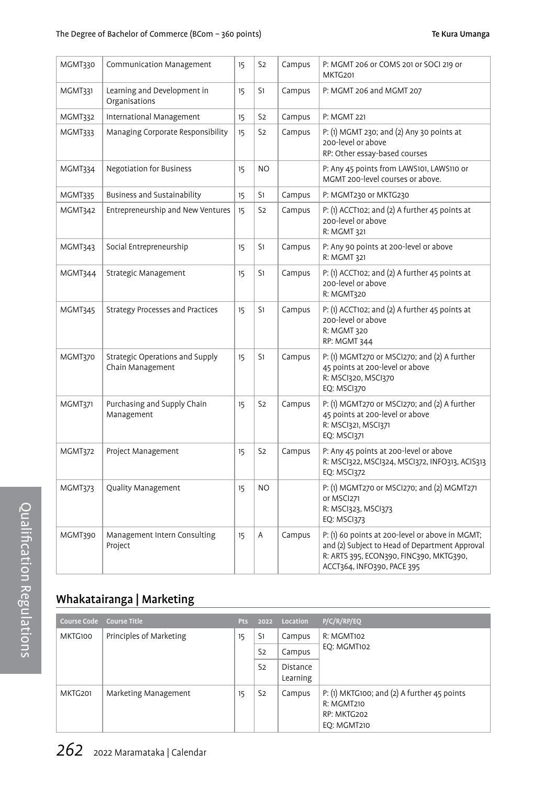| MGMT330        | Communication Management                            | 15 | S <sub>2</sub> | Campus | P: MGMT 206 or COMS 201 or SOCI 219 or<br>MKTG201                                                                                                                          |
|----------------|-----------------------------------------------------|----|----------------|--------|----------------------------------------------------------------------------------------------------------------------------------------------------------------------------|
| MGMT331        | Learning and Development in<br>Organisations        | 15 | S1             | Campus | P: MGMT 206 and MGMT 207                                                                                                                                                   |
| MGMT332        | International Management                            | 15 | S <sub>2</sub> | Campus | P: MGMT 221                                                                                                                                                                |
| MGMT333        | Managing Corporate Responsibility                   | 15 | S <sub>2</sub> | Campus | P: (1) MGMT 230; and (2) Any 30 points at<br>200-level or above<br>RP: Other essay-based courses                                                                           |
| MGMT334        | <b>Negotiation for Business</b>                     | 15 | <b>NO</b>      |        | P: Any 45 points from LAWS101, LAWS110 or<br>MGMT 200-level courses or above.                                                                                              |
| <b>MGMT335</b> | Business and Sustainability                         | 15 | S1             | Campus | P: MGMT230 or MKTG230                                                                                                                                                      |
| MGMT342        | Entrepreneurship and New Ventures                   | 15 | S <sub>2</sub> | Campus | P: (1) ACCT102; and (2) A further 45 points at<br>200-level or above<br>R: MGMT 321                                                                                        |
| MGMT343        | Social Entrepreneurship                             | 15 | S1             | Campus | P: Any 90 points at 200-level or above<br>R: MGMT 321                                                                                                                      |
| MGMT344        | Strategic Management                                | 15 | S1             | Campus | P: (1) ACCT102; and (2) A further 45 points at<br>200-level or above<br>R: MGMT320                                                                                         |
| MGMT345        | Strategy Processes and Practices                    | 15 | S1             | Campus | P: (1) ACCT102; and (2) A further 45 points at<br>200-level or above<br>R: MGMT 320<br>RP: MGMT 344                                                                        |
| MGMT370        | Strategic Operations and Supply<br>Chain Management | 15 | S1             | Campus | P: (1) MGMT270 or MSCI270; and (2) A further<br>45 points at 200-level or above<br>R: MSCI320, MSCI370<br>EQ: MSCI370                                                      |
| MGMT371        | Purchasing and Supply Chain<br>Management           | 15 | S <sub>2</sub> | Campus | P: (1) MGMT270 or MSCI270; and (2) A further<br>45 points at 200-level or above<br>R: MSCI321, MSCI371<br><b>EQ: MSCI371</b>                                               |
| MGMT372        | Project Management                                  | 15 | S <sub>2</sub> | Campus | P: Any 45 points at 200-level or above<br>R: MSCI322, MSCI324, MSCI372, INFO313, ACIS313<br>EQ: MSCI372                                                                    |
| MGMT373        | Quality Management                                  | 15 | N <sub>O</sub> |        | P: (1) MGMT270 or MSCI270; and (2) MGMT271<br>or MSCI271<br>R: MSCI323, MSCI373<br><b>EQ: MSCI373</b>                                                                      |
| MGMT390        | Management Intern Consulting<br>Project             | 15 | A              | Campus | P: (1) 60 points at 200-level or above in MGMT;<br>and (2) Subject to Head of Department Approval<br>R: ARTS 395, ECON390, FINC390, MKTG390,<br>ACCT364, INFO390, PACE 395 |

### Whakatairanga | Marketing

|         | Course Code Course Title | Pts                                                                                | 2022           | Location             | P/C/R/RP/EQ                                                                                    |
|---------|--------------------------|------------------------------------------------------------------------------------|----------------|----------------------|------------------------------------------------------------------------------------------------|
| MKTG100 | Principles of Marketing  | <b>R: MGMT102</b><br>S1<br>Campus<br>15<br>EO: MGMT102<br>S <sub>2</sub><br>Campus |                |                      |                                                                                                |
|         |                          |                                                                                    |                |                      |                                                                                                |
|         |                          |                                                                                    | S <sub>2</sub> | Distance<br>Learning |                                                                                                |
| MKTG201 | Marketing Management     | 15                                                                                 | S <sub>2</sub> | Campus               | P: (1) MKTG100; and (2) A further 45 points<br>R: MGMT210<br>RP: MKTG202<br><b>EO: MGMT210</b> |